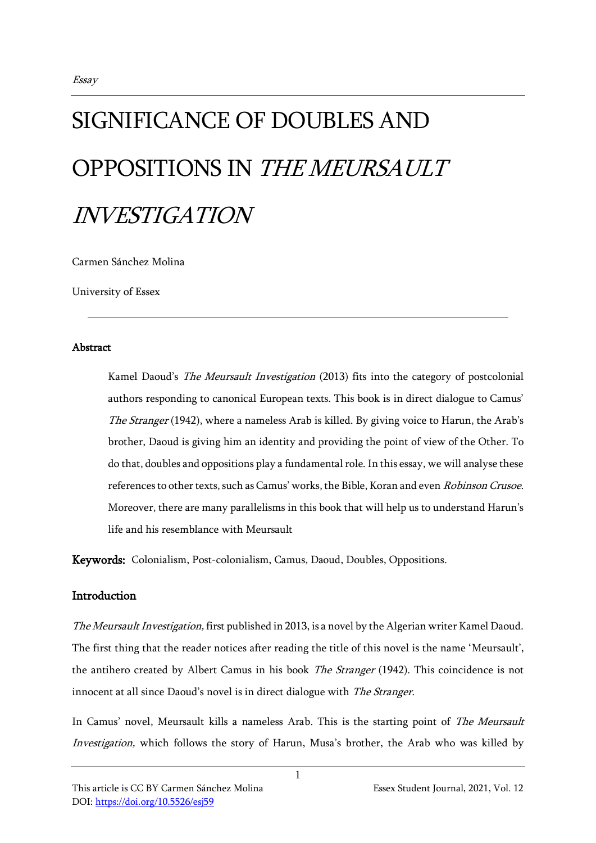# SIGNIFICANCE OF DOUBLES AND OPPOSITIONS IN THE MEURSAULT INVESTIGATION

Carmen Sánchez Molina

University of Essex

### **Abstract**

Kamel Daoud's The Meursault Investigation (2013) fits into the category of postcolonial authors responding to canonical European texts. This book is in direct dialogue to Camus' The Stranger (1942), where a nameless Arab is killed. By giving voice to Harun, the Arab's brother, Daoud is giving him an identity and providing the point of view of the Other. To do that, doubles and oppositions play a fundamental role. In this essay, we will analyse these references to other texts, such as Camus' works, the Bible, Koran and even Robinson Crusoe. Moreover, there are many parallelisms in this book that will help us to understand Harun's life and his resemblance with Meursault

Keywords: Colonialism, Post-colonialism, Camus, Daoud, Doubles, Oppositions.

## Introduction

The Meursault Investigation, first published in 2013, is a novel by the Algerian writer Kamel Daoud. The first thing that the reader notices after reading the title of this novel is the name 'Meursault', the antihero created by Albert Camus in his book The Stranger (1942). This coincidence is not innocent at all since Daoud's novel is in direct dialogue with The Stranger.

In Camus' novel, Meursault kills a nameless Arab. This is the starting point of The Meursault Investigation, which follows the story of Harun, Musa's brother, the Arab who was killed by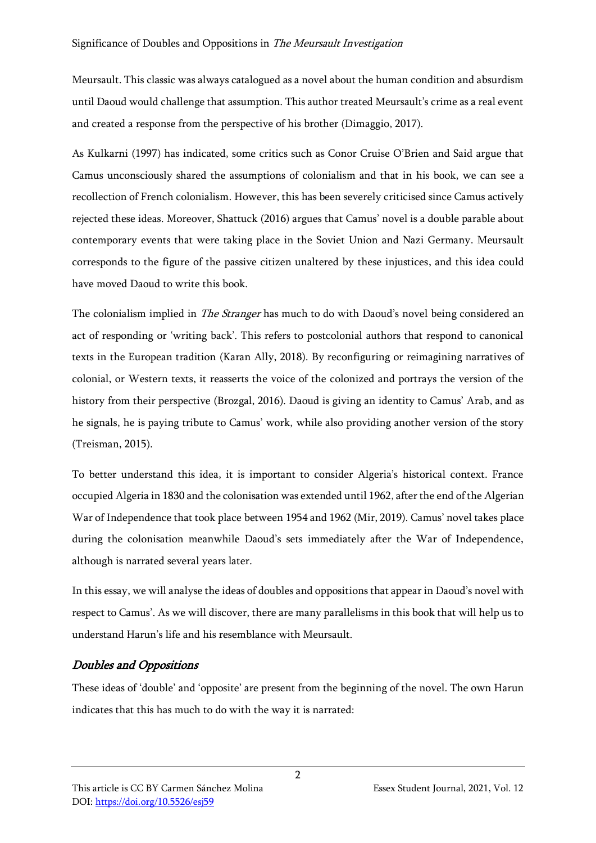Meursault. This classic was always catalogued as a novel about the human condition and absurdism until Daoud would challenge that assumption. This author treated Meursault's crime as a real event and created a response from the perspective of his brother (Dimaggio, 2017).

As Kulkarni (1997) has indicated, some critics such as Conor Cruise O'Brien and Said argue that Camus unconsciously shared the assumptions of colonialism and that in his book, we can see a recollection of French colonialism. However, this has been severely criticised since Camus actively rejected these ideas. Moreover, Shattuck (2016) argues that Camus' novel is a double parable about contemporary events that were taking place in the Soviet Union and Nazi Germany. Meursault corresponds to the figure of the passive citizen unaltered by these injustices, and this idea could have moved Daoud to write this book.

The colonialism implied in *The Stranger* has much to do with Daoud's novel being considered an act of responding or 'writing back'. This refers to postcolonial authors that respond to canonical texts in the European tradition (Karan Ally, 2018). By reconfiguring or reimagining narratives of colonial, or Western texts, it reasserts the voice of the colonized and portrays the version of the history from their perspective (Brozgal, 2016). Daoud is giving an identity to Camus' Arab, and as he signals, he is paying tribute to Camus' work, while also providing another version of the story (Treisman, 2015).

To better understand this idea, it is important to consider Algeria's historical context. France occupied Algeria in 1830 and the colonisation was extended until 1962, after the end of the Algerian War of Independence that took place between 1954 and 1962 (Mir, 2019). Camus' novel takes place during the colonisation meanwhile Daoud's sets immediately after the War of Independence, although is narrated several years later.

In this essay, we will analyse the ideas of doubles and oppositions that appear in Daoud's novel with respect to Camus'. As we will discover, there are many parallelisms in this book that will help us to understand Harun's life and his resemblance with Meursault.

# Doubles and Oppositions

These ideas of 'double' and 'opposite' are present from the beginning of the novel. The own Harun indicates that this has much to do with the way it is narrated: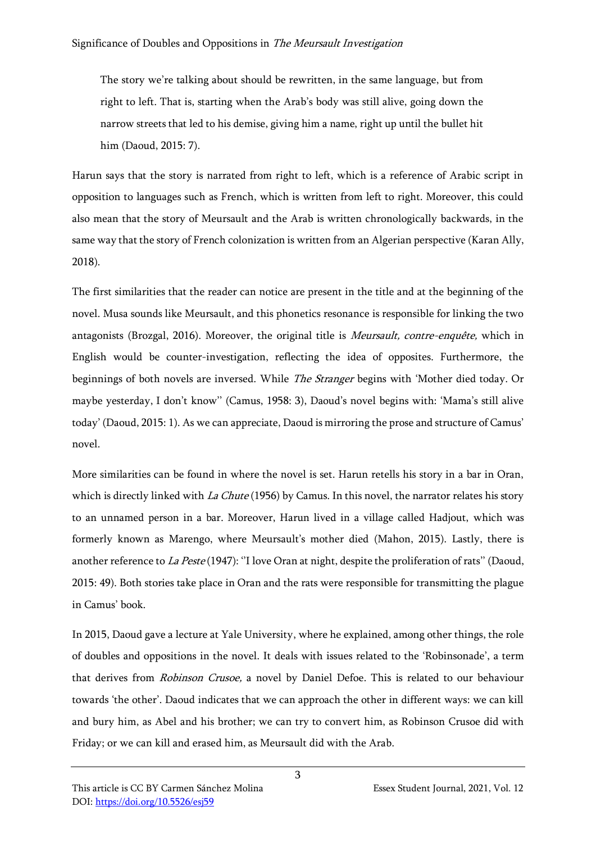The story we're talking about should be rewritten, in the same language, but from right to left. That is, starting when the Arab's body was still alive, going down the narrow streets that led to his demise, giving him a name, right up until the bullet hit him (Daoud, 2015: 7).

Harun says that the story is narrated from right to left, which is a reference of Arabic script in opposition to languages such as French, which is written from left to right. Moreover, this could also mean that the story of Meursault and the Arab is written chronologically backwards, in the same way that the story of French colonization is written from an Algerian perspective (Karan Ally, 2018).

The first similarities that the reader can notice are present in the title and at the beginning of the novel. Musa sounds like Meursault, and this phonetics resonance is responsible for linking the two antagonists (Brozgal, 2016). Moreover, the original title is *Meursault, contre-enquête*, which in English would be counter-investigation, reflecting the idea of opposites. Furthermore, the beginnings of both novels are inversed. While The Stranger begins with 'Mother died today. Or maybe yesterday, I don't know'' (Camus, 1958: 3), Daoud's novel begins with: 'Mama's still alive today' (Daoud, 2015: 1). As we can appreciate, Daoud is mirroring the prose and structure of Camus' novel.

More similarities can be found in where the novel is set. Harun retells his story in a bar in Oran, which is directly linked with La Chute (1956) by Camus. In this novel, the narrator relates his story to an unnamed person in a bar. Moreover, Harun lived in a village called Hadjout, which was formerly known as Marengo, where Meursault's mother died (Mahon, 2015). Lastly, there is another reference to *La Peste* (1947): "I love Oran at night, despite the proliferation of rats" (Daoud, 2015: 49). Both stories take place in Oran and the rats were responsible for transmitting the plague in Camus' book.

In 2015, Daoud gave a lecture at Yale University, where he explained, among other things, the role of doubles and oppositions in the novel. It deals with issues related to the 'Robinsonade', a term that derives from Robinson Crusoe, a novel by Daniel Defoe. This is related to our behaviour towards 'the other'. Daoud indicates that we can approach the other in different ways: we can kill and bury him, as Abel and his brother; we can try to convert him, as Robinson Crusoe did with Friday; or we can kill and erased him, as Meursault did with the Arab.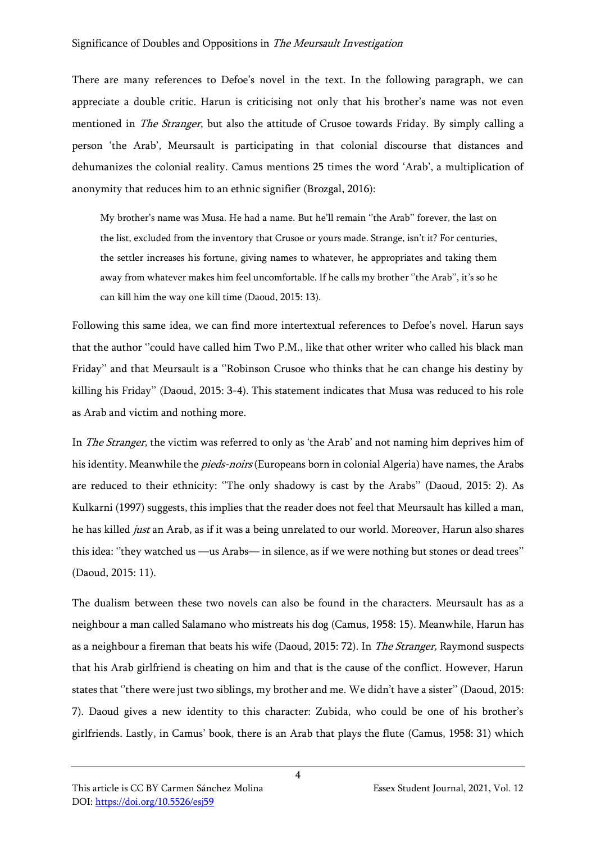There are many references to Defoe's novel in the text. In the following paragraph, we can appreciate a double critic. Harun is criticising not only that his brother's name was not even mentioned in *The Stranger*, but also the attitude of Crusoe towards Friday. By simply calling a person 'the Arab', Meursault is participating in that colonial discourse that distances and dehumanizes the colonial reality. Camus mentions 25 times the word 'Arab', a multiplication of anonymity that reduces him to an ethnic signifier (Brozgal, 2016):

My brother's name was Musa. He had a name. But he'll remain ''the Arab'' forever, the last on the list, excluded from the inventory that Crusoe or yours made. Strange, isn't it? For centuries, the settler increases his fortune, giving names to whatever, he appropriates and taking them away from whatever makes him feel uncomfortable. If he calls my brother ''the Arab'', it's so he can kill him the way one kill time (Daoud, 2015: 13).

Following this same idea, we can find more intertextual references to Defoe's novel. Harun says that the author "could have called him Two P.M., like that other writer who called his black man Friday'' and that Meursault is a ''Robinson Crusoe who thinks that he can change his destiny by killing his Friday'' (Daoud, 2015: 3-4). This statement indicates that Musa was reduced to his role as Arab and victim and nothing more.

In The Stranger, the victim was referred to only as 'the Arab' and not naming him deprives him of his identity. Meanwhile the *pieds-noirs* (Europeans born in colonial Algeria) have names, the Arabs are reduced to their ethnicity: ''The only shadowy is cast by the Arabs'' (Daoud, 2015: 2). As Kulkarni (1997) suggests, this implies that the reader does not feel that Meursault has killed a man, he has killed *just* an Arab, as if it was a being unrelated to our world. Moreover, Harun also shares this idea: ''they watched us ––us Arabs–– in silence, as if we were nothing but stones or dead trees'' (Daoud, 2015: 11).

The dualism between these two novels can also be found in the characters. Meursault has as a neighbour a man called Salamano who mistreats his dog (Camus, 1958: 15). Meanwhile, Harun has as a neighbour a fireman that beats his wife (Daoud, 2015: 72). In *The Stranger*, Raymond suspects that his Arab girlfriend is cheating on him and that is the cause of the conflict. However, Harun states that ''there were just two siblings, my brother and me. We didn't have a sister'' (Daoud, 2015: 7). Daoud gives a new identity to this character: Zubida, who could be one of his brother's girlfriends. Lastly, in Camus' book, there is an Arab that plays the flute (Camus, 1958: 31) which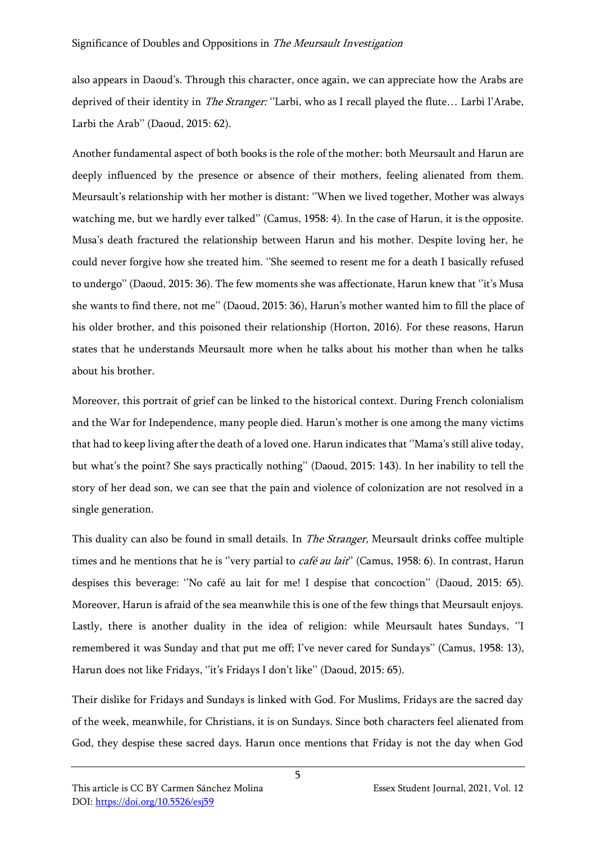also appears in Daoud's. Through this character, once again, we can appreciate how the Arabs are deprived of their identity in *The Stranger:* "Larbi, who as I recall played the flute... Larbi l'Arabe, Larbi the Arab'' (Daoud, 2015: 62).

Another fundamental aspect of both books is the role of the mother: both Meursault and Harun are deeply influenced by the presence or absence of their mothers, feeling alienated from them. Meursault's relationship with her mother is distant: ''When we lived together, Mother was always watching me, but we hardly ever talked'' (Camus, 1958: 4). In the case of Harun, it is the opposite. Musa's death fractured the relationship between Harun and his mother. Despite loving her, he could never forgive how she treated him. ''She seemed to resent me for a death I basically refused to undergo'' (Daoud, 2015: 36). The few moments she was affectionate, Harun knew that ''it's Musa she wants to find there, not me'' (Daoud, 2015: 36), Harun's mother wanted him to fill the place of his older brother, and this poisoned their relationship (Horton, 2016). For these reasons, Harun states that he understands Meursault more when he talks about his mother than when he talks about his brother.

Moreover, this portrait of grief can be linked to the historical context. During French colonialism and the War for Independence, many people died. Harun's mother is one among the many victims that had to keep living after the death of a loved one. Harun indicates that ''Mama's still alive today, but what's the point? She says practically nothing'' (Daoud, 2015: 143). In her inability to tell the story of her dead son, we can see that the pain and violence of colonization are not resolved in a single generation.

This duality can also be found in small details. In *The Stranger*, Meursault drinks coffee multiple times and he mentions that he is "very partial to *café au lait*" (Camus, 1958: 6). In contrast, Harun despises this beverage: ''No café au lait for me! I despise that concoction'' (Daoud, 2015: 65). Moreover, Harun is afraid of the sea meanwhile this is one of the few things that Meursault enjoys. Lastly, there is another duality in the idea of religion: while Meursault hates Sundays, ''I remembered it was Sunday and that put me off; I've never cared for Sundays'' (Camus, 1958: 13), Harun does not like Fridays, "it's Fridays I don't like" (Daoud, 2015: 65).

Their dislike for Fridays and Sundays is linked with God. For Muslims, Fridays are the sacred day of the week, meanwhile, for Christians, it is on Sundays. Since both characters feel alienated from God, they despise these sacred days. Harun once mentions that Friday is not the day when God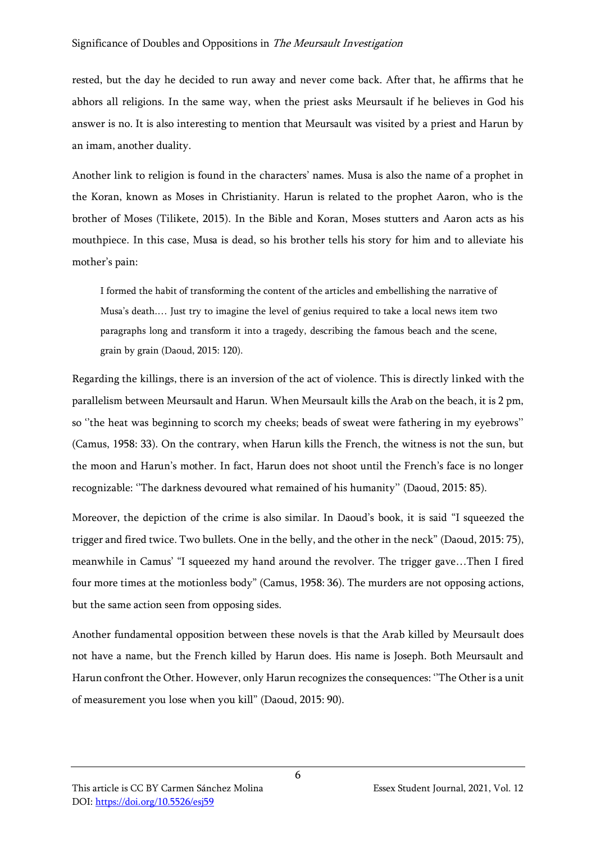#### Significance of Doubles and Oppositions in The Meursault Investigation

rested, but the day he decided to run away and never come back. After that, he affirms that he abhors all religions. In the same way, when the priest asks Meursault if he believes in God his answer is no. It is also interesting to mention that Meursault was visited by a priest and Harun by an imam, another duality.

Another link to religion is found in the characters' names. Musa is also the name of a prophet in the Koran, known as Moses in Christianity. Harun is related to the prophet Aaron, who is the brother of Moses (Tilikete, 2015). In the Bible and Koran, Moses stutters and Aaron acts as his mouthpiece. In this case, Musa is dead, so his brother tells his story for him and to alleviate his mother's pain:

I formed the habit of transforming the content of the articles and embellishing the narrative of Musa's death.… Just try to imagine the level of genius required to take a local news item two paragraphs long and transform it into a tragedy, describing the famous beach and the scene, grain by grain (Daoud, 2015: 120).

Regarding the killings, there is an inversion of the act of violence. This is directly linked with the parallelism between Meursault and Harun. When Meursault kills the Arab on the beach, it is 2 pm, so ''the heat was beginning to scorch my cheeks; beads of sweat were fathering in my eyebrows'' (Camus, 1958: 33). On the contrary, when Harun kills the French, the witness is not the sun, but the moon and Harun's mother. In fact, Harun does not shoot until the French's face is no longer recognizable: ''The darkness devoured what remained of his humanity'' (Daoud, 2015: 85).

Moreover, the depiction of the crime is also similar. In Daoud's book, it is said "I squeezed the trigger and fired twice. Two bullets. One in the belly, and the other in the neck" (Daoud, 2015: 75), meanwhile in Camus' "I squeezed my hand around the revolver. The trigger gave…Then I fired four more times at the motionless body" (Camus, 1958: 36). The murders are not opposing actions, but the same action seen from opposing sides.

Another fundamental opposition between these novels is that the Arab killed by Meursault does not have a name, but the French killed by Harun does. His name is Joseph. Both Meursault and Harun confront the Other. However, only Harun recognizes the consequences: ''The Other is a unit of measurement you lose when you kill" (Daoud, 2015: 90).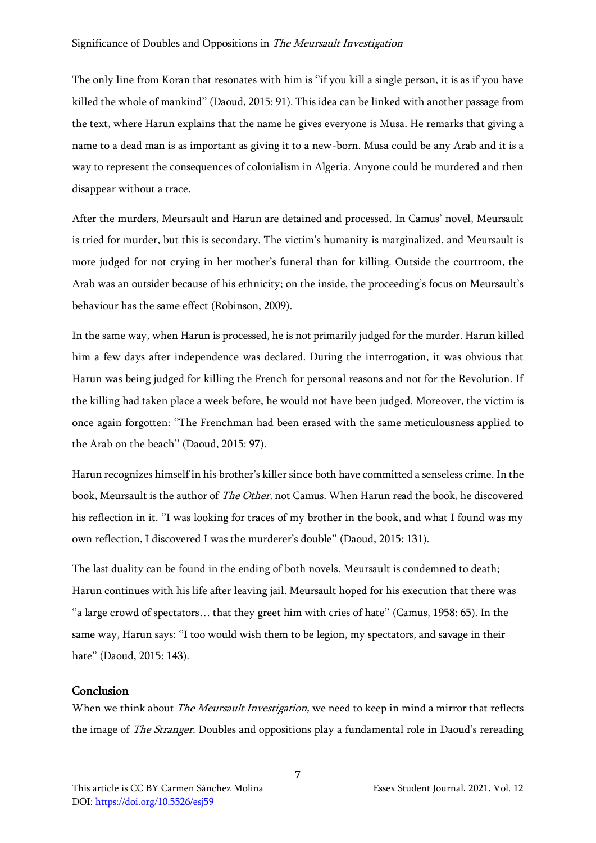The only line from Koran that resonates with him is ''if you kill a single person, it is as if you have killed the whole of mankind'' (Daoud, 2015: 91). This idea can be linked with another passage from the text, where Harun explains that the name he gives everyone is Musa. He remarks that giving a name to a dead man is as important as giving it to a new-born. Musa could be any Arab and it is a way to represent the consequences of colonialism in Algeria. Anyone could be murdered and then disappear without a trace.

After the murders, Meursault and Harun are detained and processed. In Camus' novel, Meursault is tried for murder, but this is secondary. The victim's humanity is marginalized, and Meursault is more judged for not crying in her mother's funeral than for killing. Outside the courtroom, the Arab was an outsider because of his ethnicity; on the inside, the proceeding's focus on Meursault's behaviour has the same effect (Robinson, 2009).

In the same way, when Harun is processed, he is not primarily judged for the murder. Harun killed him a few days after independence was declared. During the interrogation, it was obvious that Harun was being judged for killing the French for personal reasons and not for the Revolution. If the killing had taken place a week before, he would not have been judged. Moreover, the victim is once again forgotten: ''The Frenchman had been erased with the same meticulousness applied to the Arab on the beach'' (Daoud, 2015: 97).

Harun recognizes himself in his brother's killer since both have committed a senseless crime. In the book, Meursault is the author of *The Other*, not Camus. When Harun read the book, he discovered his reflection in it. "I was looking for traces of my brother in the book, and what I found was my own reflection, I discovered I was the murderer's double'' (Daoud, 2015: 131).

The last duality can be found in the ending of both novels. Meursault is condemned to death; Harun continues with his life after leaving jail. Meursault hoped for his execution that there was "a large crowd of spectators... that they greet him with cries of hate" (Camus, 1958: 65). In the same way, Harun says: "I too would wish them to be legion, my spectators, and savage in their hate'' (Daoud, 2015: 143).

# Conclusion

When we think about *The Meursault Investigation*, we need to keep in mind a mirror that reflects the image of *The Stranger*. Doubles and oppositions play a fundamental role in Daoud's rereading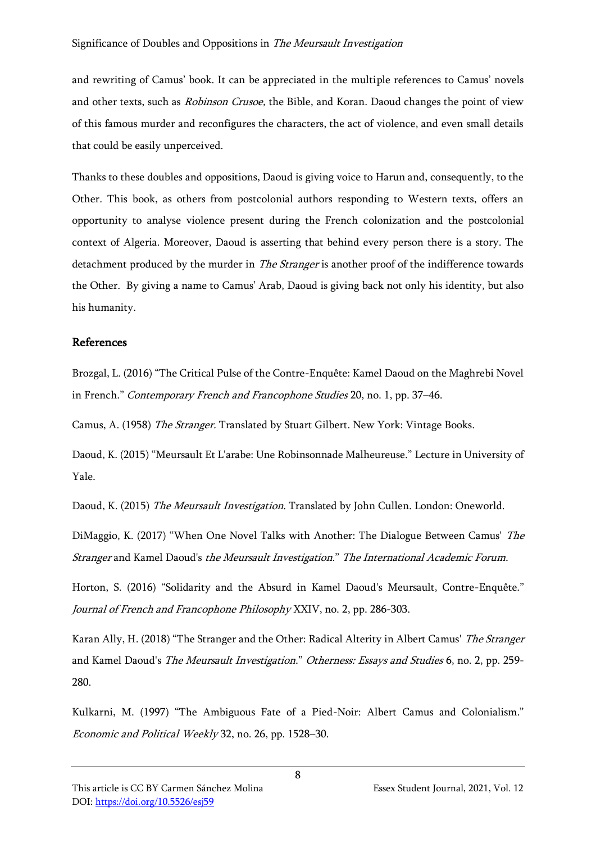and rewriting of Camus' book. It can be appreciated in the multiple references to Camus' novels and other texts, such as Robinson Crusoe, the Bible, and Koran. Daoud changes the point of view of this famous murder and reconfigures the characters, the act of violence, and even small details that could be easily unperceived.

Thanks to these doubles and oppositions, Daoud is giving voice to Harun and, consequently, to the Other. This book, as others from postcolonial authors responding to Western texts, offers an opportunity to analyse violence present during the French colonization and the postcolonial context of Algeria. Moreover, Daoud is asserting that behind every person there is a story. The detachment produced by the murder in *The Stranger* is another proof of the indifference towards the Other. By giving a name to Camus' Arab, Daoud is giving back not only his identity, but also his humanity.

## References

Brozgal, L. (2016) "The Critical Pulse of the Contre-Enquête: Kamel Daoud on the Maghrebi Novel in French." Contemporary French and Francophone Studies 20, no. 1, pp. 37–46.

Camus, A. (1958) The Stranger. Translated by Stuart Gilbert. New York: Vintage Books.

Daoud, K. (2015) "Meursault Et L'arabe: Une Robinsonnade Malheureuse." Lecture in University of Yale.

Daoud, K. (2015) The Meursault Investigation. Translated by John Cullen. London: Oneworld.

DiMaggio, K. (2017) "When One Novel Talks with Another: The Dialogue Between Camus' The Stranger and Kamel Daoud's the Meursault Investigation." The International Academic Forum.

Horton, S. (2016) "Solidarity and the Absurd in Kamel Daoud's Meursault, Contre-Enquête." Journal of French and Francophone Philosophy XXIV, no. 2, pp. 286-303.

Karan Ally, H. (2018) "The Stranger and the Other: Radical Alterity in Albert Camus' The Stranger and Kamel Daoud's The Meursault Investigation." Otherness: Essays and Studies 6, no. 2, pp. 259-280.

Kulkarni, M. (1997) "The Ambiguous Fate of a Pied-Noir: Albert Camus and Colonialism." Economic and Political Weekly 32, no. 26, pp. 1528–30.